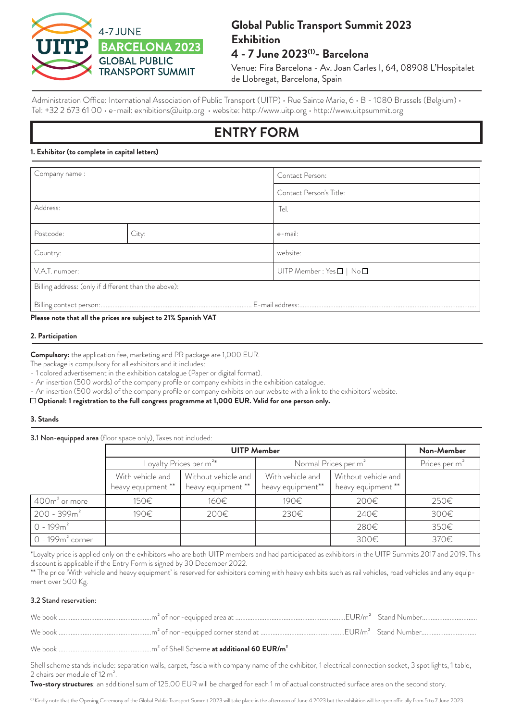

# **Global Public Transport Summit 2023 Exhibition 4 - 7 June 2023(1)- Barcelona**

Venue: Fira Barcelona - Av. Joan Carles I, 64, 08908 L'Hospitalet de Llobregat, Barcelona, Spain

Administration Office: International Association of Public Transport (UITP) · Rue Sainte Marie, 6 · B - 1080 Brussels (Belgium) · Tel: +32 2 673 61 00 • e-mail: exhibitions@uitp.org • website: http://www.uitp.org • http://www.uitpsummit.org

# **ENTRY FORM**

#### **1. Exhibitor (to complete in capital letters)**

| Company name :                                       |       | Contact Person:                             |  |  |
|------------------------------------------------------|-------|---------------------------------------------|--|--|
|                                                      |       | Contact Person's Title:                     |  |  |
| Address:                                             |       | Tel.                                        |  |  |
| Postcode:                                            | City: | e-mail:                                     |  |  |
| Country:                                             |       | website:                                    |  |  |
| V.A.T. number:                                       |       | UITP Member : Yes $\square \mid No \square$ |  |  |
| Billing address: (only if different than the above): |       |                                             |  |  |
|                                                      |       |                                             |  |  |

**Please note that all the prices are subject to 21% Spanish VAT**

#### **2. Participation**

**Compulsory:** the application fee, marketing and PR package are 1,000 EUR.

The package is compulsory for all exhibitors and it includes:

- 1 colored advertisement in the exhibition catalogue (Paper or digital format).

- An insertion (500 words) of the company profile or company exhibits in the exhibition catalogue.

- An insertion (500 words) of the company profile or company exhibits on our website with a link to the exhibitors' website.

 **Optional: 1 registration to the full congress programme at 1,000 EUR. Valid for one person only.** 

#### **3. Stands**

3.1 Non-equipped area (floor space only), Taxes not included:

|                       |                                        | Non-Member                                |                                       |                                           |                           |
|-----------------------|----------------------------------------|-------------------------------------------|---------------------------------------|-------------------------------------------|---------------------------|
|                       | Loyalty Prices per m <sup>2*</sup>     |                                           | Normal Prices per m <sup>2</sup>      |                                           | Prices per m <sup>2</sup> |
|                       | With vehicle and<br>heavy equipment ** | Without vehicle and<br>heavy equipment ** | With vehicle and<br>heavy equipment** | Without vehicle and<br>heavy equipment ** |                           |
| $400\rm{m}^2$ or more | 150€                                   | 160€                                      | 190€                                  | 200€                                      | 250€                      |
| $200 - 399m^2$        | 190€                                   | 200€                                      | 230€                                  | 240€                                      | 300€                      |
| $0 - 199m^2$          |                                        |                                           |                                       | 280€                                      | 350€                      |
| $0 - 199m2 corner$    |                                        |                                           |                                       | 300€                                      | 370€                      |

\*Loyalty price is applied only on the exhibitors who are both UITP members and had participated as exhibitors in the UITP Summits 2017 and 2019. This discount is applicable if the Entry Form is signed by 30 December 2022.

\*\* The price 'With vehicle and heavy equipment' is reserved for exhibitors coming with heavy exhibits such as rail vehicles, road vehicles and any equipment over 500 Kg.

#### 3.2 Stand reservation:

Shell scheme stands include: separation walls, carpet, fascia with company name of the exhibitor, 1 electrical connection socket, 3 spot lights, 1 table, 2 chairs per module of 12 m².

**Two-story structures**: an additional sum of 125.00 EUR will be charged for each 1 m of actual constructed surface area on the second story.

<sup>(1)</sup> Kindly note that the Opening Ceremony of the Global Public Transport Summit 2023 will take place in the afternoon of June 4 2023 but the exhibition will be open officially from 5 to 7 June 2023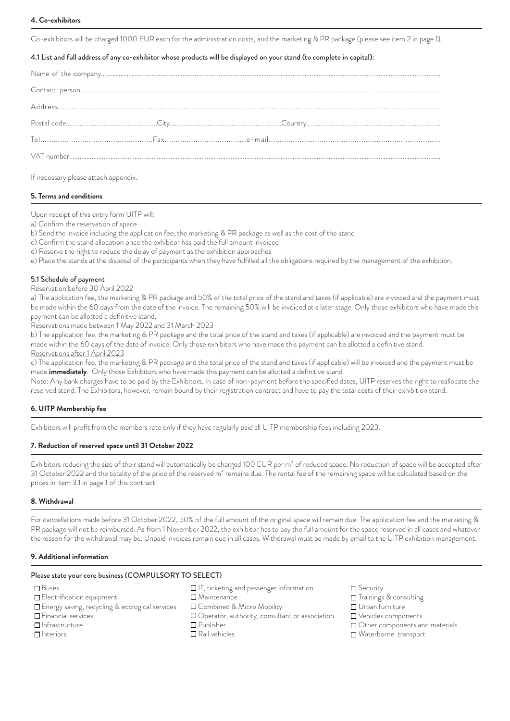#### **4. Co-exhibitors**

Co-exhibitors will be charged 1000 EUR each for the administration costs, and the marketing & PR package (please see item 2 in page 1).

#### 4.1 List and full address of any co-exhibitor whose products will be displayed on your stand (to complete in capital):

If necessary please attach appendix.

#### **5. Terms and conditions**

Upon receipt of this entry form UITP will:

- a) Confirm the reservation of space
- b) Send the invoice including the application fee, the marketing & PR package as well as the cost of the stand
- c) Confirm the stand allocation once the exhibitor has paid the full amount invoiced
- d) Reserve the right to reduce the delay of payment as the exhibition approaches
- e) Place the stands at the disposal of the participants when they have fulfilled all the obligations required by the management of the exhibition.

#### 5.1 Schedule of payment

#### Reservation before 30 April 2022

a) The application fee, the marketing & PR package and 50% of the total price of the stand and taxes (if applicable) are invoiced and the payment must be made within the 60 days from the date of the invoice. The remaining 50% will be invoiced at a later stage. Only those exhibitors who have made this payment can be allotted a definitive stand.

Reservations made between 1 May 2022 and 31 March 2023

b) The application fee, the marketing & PR package and the total price of the stand and taxes (if applicable) are invoiced and the payment must be made within the 60 days of the date of invoice. Only those exhibitors who have made this payment can be allotted a definitive stand. Reservations after 1 April 2023

c) The application fee, the marketing & PR package and the total price of the stand and taxes (if applicable) will be invoiced and the payment must be made **immediately**. Only those Exhibitors who have made this payment can be allotted a definitive stand

Note: Any bank charges have to be paid by the Exhibitors. In case of non-payment before the specified dates, UITP reserves the right to reallocate the reserved stand. The Exhibitors, however, remain bound by their registration contract and have to pay the total costs of their exhibition stand.

#### **6. UITP Membership fee**

Exhibitors will profit from the members rate only if they have regularly paid all UITP membership fees including 2023.

#### **7. Reduction of reserved space until 31 October 2022**

Exhibitors reducing the size of their stand will automatically be charged 100 EUR per m<sup>2</sup> of reduced space. No reduction of space will be accepted after 31 October 2022 and the totality of the price of the reserved  $m^2$  remains due. The rental fee of the remaining space will be calculated based on the prices in item 3.1 in page 1 of this contract.

#### **8. Withdrawal**

For cancellations made before 31 October 2022, 50% of the full amount of the original space will remain due. The application fee and the marketing & PR package will not be reimbursed. As from 1 November 2022, the exhibitor has to pay the full amount for the space reserved in all cases and whatever the reason for the withdrawal may be. Unpaid invoices remain due in all cases. Withdrawal must be made by email to the UITP exhibition management.

#### **9. Additional information**

#### Please state your core business (COMPULSORY TO SELECT)

- **□**Buses
- **Electrification equipment**
- Energy saving, recycling & ecological services
- Financial services
- Infrastructure
- $n$ Interiors
- $\Box$  IT, ticketing and passenger information
- Maintenance
- □ Combined & Micro Mobility
- □ Operator, authority, consultant or association
- Publisher
- Rail vehicles
- **□** Security
- Trainings & consulting
- Urban furniture
- Vehicles components
- □ Other components and materials
- Waterborne transport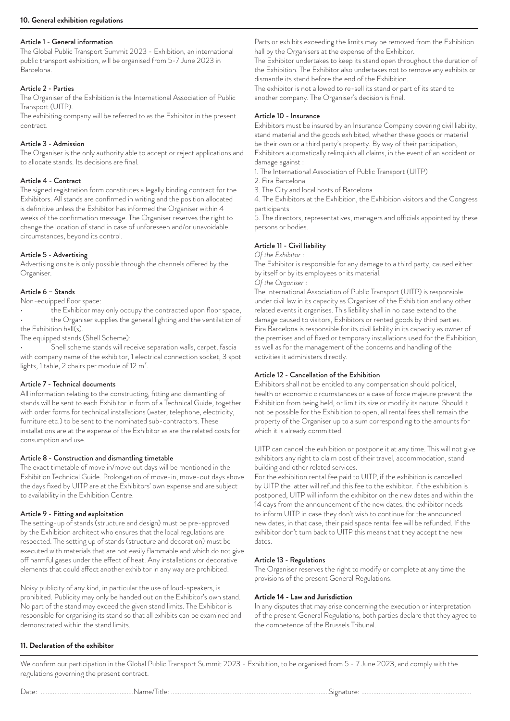#### Article 1 - General information

The Global Public Transport Summit 2023 - Exhibition, an international public transport exhibition, will be organised from 5-7 June 2023 in Barcelona.

#### Article 2 - Parties

The Organiser of the Exhibition is the International Association of Public Transport (UITP).

The exhibiting company will be referred to as the Exhibitor in the present contract.

#### Article 3 - Admission

The Organiser is the only authority able to accept or reject applications and to allocate stands. Its decisions are final.

#### Article 4 - Contract

The signed registration form constitutes a legally binding contract for the Exhibitors. All stands are confirmed in writing and the position allocated is definitive unless the Exhibitor has informed the Organiser within 4 weeks of the confirmation message. The Organiser reserves the right to change the location of stand in case of unforeseen and/or unavoidable circumstances, beyond its control.

#### Article 5 - Advertising

Advertising onsite is only possible through the channels offered by the Organiser.

#### Article 6 – Stands

Non-equipped floor space:

- ...<br>the Exhibitor may only occupy the contracted upon floor space, the Organiser supplies the general lighting and the ventilation of
- the Exhibition hall(s).

The equipped stands (Shell Scheme):

• Shell scheme stands will receive separation walls, carpet, fascia with company name of the exhibitor, 1 electrical connection socket, 3 spot lights, 1 table, 2 chairs per module of 12 m².

#### Article 7 - Technical documents

All information relating to the constructing, fitting and dismantling of stands will be sent to each Exhibitor in form of a Technical Guide, together with order forms for technical installations (water, telephone, electricity, furniture etc.) to be sent to the nominated sub-contractors. These installations are at the expense of the Exhibitor as are the related costs for consumption and use.

#### Article 8 - Construction and dismantling timetable

The exact timetable of move in/move out days will be mentioned in the Exhibition Technical Guide. Prolongation of move-in, move-out days above the days fixed by UITP are at the Exhibitors' own expense and are subject to availability in the Exhibition Centre.

#### Article 9 - Fitting and exploitation

The setting-up of stands (structure and design) must be pre-approved by the Exhibition architect who ensures that the local regulations are respected. The setting up of stands (structure and decoration) must be executed with materials that are not easily flammable and which do not give off harmful gases under the effect of heat. Any installations or decorative elements that could affect another exhibitor in any way are prohibited.

Noisy publicity of any kind, in particular the use of loud-speakers, is prohibited. Publicity may only be handed out on the Exhibitor's own stand. No part of the stand may exceed the given stand limits. The Exhibitor is responsible for organising its stand so that all exhibits can be examined and demonstrated within the stand limits.

Parts or exhibits exceeding the limits may be removed from the Exhibition hall by the Organisers at the expense of the Exhibitor.

The Exhibitor undertakes to keep its stand open throughout the duration of the Exhibition. The Exhibitor also undertakes not to remove any exhibits or dismantle its stand before the end of the Exhibition.

The exhibitor is not allowed to re-sell its stand or part of its stand to another company. The Organiser's decision is final.

#### Article 10 - Insurance

Exhibitors must be insured by an Insurance Company covering civil liability, stand material and the goods exhibited, whether these goods or material be their own or a third party's property. By way of their participation, Exhibitors automatically relinquish all claims, in the event of an accident or damage against :

1. The International Association of Public Transport (UITP)

- 2. Fira Barcelona
- 3. The City and local hosts of Barcelona

4. The Exhibitors at the Exhibition, the Exhibition visitors and the Congress participants

5. The directors, representatives, managers and officials appointed by these persons or bodies.

#### Article 11 - Civil liability

*Of the Exhibitor* :

The Exhibitor is responsible for any damage to a third party, caused either by itself or by its employees or its material.

*Of the Organiser* :

The International Association of Public Transport (UITP) is responsible under civil law in its capacity as Organiser of the Exhibition and any other related events it organises. This liability shall in no case extend to the damage caused to visitors, Exhibitors or rented goods by third parties. Fira Barcelona is responsible for its civil liability in its capacity as owner of the premises and of fixed or temporary installations used for the Exhibition, as well as for the management of the concerns and handling of the activities it administers directly.

#### Article 12 - Cancellation of the Exhibition

Exhibitors shall not be entitled to any compensation should political, health or economic circumstances or a case of force majeure prevent the Exhibition from being held, or limit its size or modify its nature. Should it not be possible for the Exhibition to open, all rental fees shall remain the property of the Organiser up to a sum corresponding to the amounts for which it is already committed.

UITP can cancel the exhibition or postpone it at any time. This will not give exhibitors any right to claim cost of their travel, accommodation, stand building and other related services.

For the exhibition rental fee paid to UITP, if the exhibition is cancelled by UITP the latter will refund this fee to the exhibitor. If the exhibition is postponed, UITP will inform the exhibitor on the new dates and within the 14 days from the announcement of the new dates, the exhibitor needs to inform UITP in case they don't wish to continue for the announced new dates, in that case, their paid space rental fee will be refunded. If the exhibitor don't turn back to UITP this means that they accept the new dates.

#### Article 13 - Regulations

The Organiser reserves the right to modify or complete at any time the provisions of the present General Regulations.

#### **Article 14 - Law and Jurisdiction**

In any disputes that may arise concerning the execution or interpretation of the present General Regulations, both parties declare that they agree to the competence of the Brussels Tribunal.

#### **11. Declaration of the exhibitor**

We confirm our participation in the Global Public Transport Summit 2023 - Exhibition, to be organised from 5 - 7 June 2023, and comply with the regulations governing the present contract.